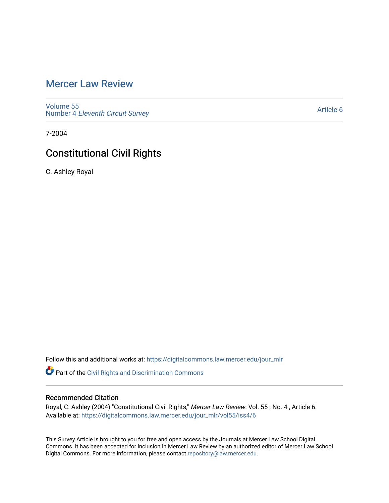# [Mercer Law Review](https://digitalcommons.law.mercer.edu/jour_mlr)

[Volume 55](https://digitalcommons.law.mercer.edu/jour_mlr/vol55) Number 4 [Eleventh Circuit Survey](https://digitalcommons.law.mercer.edu/jour_mlr/vol55/iss4) 

[Article 6](https://digitalcommons.law.mercer.edu/jour_mlr/vol55/iss4/6) 

7-2004

# Constitutional Civil Rights

C. Ashley Royal

Follow this and additional works at: [https://digitalcommons.law.mercer.edu/jour\\_mlr](https://digitalcommons.law.mercer.edu/jour_mlr?utm_source=digitalcommons.law.mercer.edu%2Fjour_mlr%2Fvol55%2Fiss4%2F6&utm_medium=PDF&utm_campaign=PDFCoverPages)

Part of the [Civil Rights and Discrimination Commons](http://network.bepress.com/hgg/discipline/585?utm_source=digitalcommons.law.mercer.edu%2Fjour_mlr%2Fvol55%2Fiss4%2F6&utm_medium=PDF&utm_campaign=PDFCoverPages) 

## Recommended Citation

Royal, C. Ashley (2004) "Constitutional Civil Rights," Mercer Law Review: Vol. 55 : No. 4 , Article 6. Available at: [https://digitalcommons.law.mercer.edu/jour\\_mlr/vol55/iss4/6](https://digitalcommons.law.mercer.edu/jour_mlr/vol55/iss4/6?utm_source=digitalcommons.law.mercer.edu%2Fjour_mlr%2Fvol55%2Fiss4%2F6&utm_medium=PDF&utm_campaign=PDFCoverPages)

This Survey Article is brought to you for free and open access by the Journals at Mercer Law School Digital Commons. It has been accepted for inclusion in Mercer Law Review by an authorized editor of Mercer Law School Digital Commons. For more information, please contact [repository@law.mercer.edu](mailto:repository@law.mercer.edu).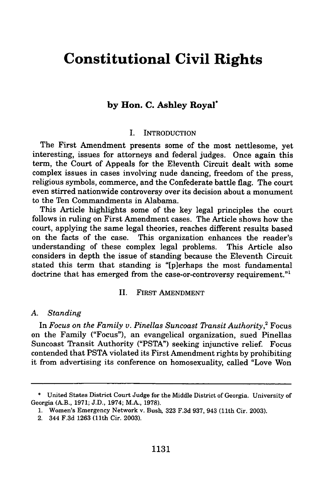# **Constitutional Civil Rights**

## **by Hon. C. Ashley Royal\***

#### **I.** INTRODUCTION

The First Amendment presents some of the most nettlesome, yet interesting, issues for attorneys and federal judges. Once again this term, the Court of Appeals for the Eleventh Circuit dealt with some complex issues in cases involving nude dancing, freedom of the press, religious symbols, commerce, and the Confederate battle flag. The court even stirred nationwide controversy over its decision about a monument to the Ten Commandments in Alabama.

This Article highlights some of the key legal principles the court follows in ruling on First Amendment cases. The Article shows how the court, applying the same legal theories, reaches different results based on the facts of the case. This organization enhances the reader's understanding of these complex legal problems. This Article also considers in depth the issue of standing because the Eleventh Circuit stated this term that standing is "[plerhaps the most fundamental doctrine that has emerged from the case-or-controversy requirement."<sup>1</sup>

## II. FIRST **AMENDMENT**

#### *A. Standing*

In *Focus on the Family v. Pinellas Suncoast Transit Authority*,<sup>2</sup> Focus on the Family ("Focus"), an evangelical organization, sued Pinellas Suncoast Transit Authority ("PSTA") seeking injunctive relief. Focus contended that PSTA violated its First Amendment rights by prohibiting it from advertising its conference on homosexuality, called "Love Won

<sup>\*</sup> United States District Court Judge for the Middle District of Georgia. University of Georgia (A.B., 1971; J.D., 1974; M.A., 1978).

<sup>1.</sup> Women's Emergency Network v. Bush, 323 F.3d 937, 943 (11th Cir. 2003).

<sup>2. 344</sup> F.3d 1263 (11th Cir. 2003).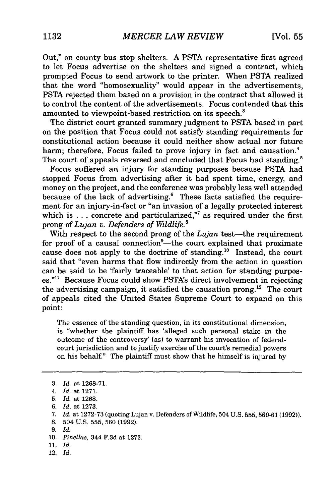Out," on county bus stop shelters. A PSTA representative first agreed to let Focus advertise on the shelters and signed a contract, which prompted Focus to send artwork to the printer. When PSTA realized that the word "homosexuality" would appear in the advertisements, PSTA rejected them based on a provision in the contract that allowed it to control the content of the advertisements. Focus contended that this amounted to viewpoint-based restriction on its speech.<sup>3</sup>

The district court granted summary judgment to PSTA based in part on the position that Focus could not satisfy standing requirements for constitutional action because it could neither show actual nor future harm; therefore, Focus failed to prove injury in fact and causation.<sup>4</sup> The court of appeals reversed and concluded that Focus had standing.<sup>5</sup>

Focus suffered an injury for standing purposes because PSTA had stopped Focus from advertising after it had spent time, energy, and money on the project, and the conference was probably less well attended because of the lack of advertising.<sup>6</sup> These facts satisfied the requirement for an injury-in-fact or "an invasion of a legally protected interest which is  $\ldots$  concrete and particularized,"<sup>7</sup> as required under the first prong of *Lujan v. Defenders of Wildlife.'*

With respect to the second prong of the *Lujan* test-the requirement for proof of a causal connection<sup>9</sup>—the court explained that proximate cause does not apply to the doctrine of standing.<sup>10</sup> Instead, the court said that "even harms that flow indirectly from the action in question can be said to be 'fairly traceable' to that action for standing purposes."<sup>11</sup> Because Focus could show PSTA's direct involvement in rejecting the advertising campaign, it satisfied the causation prong.<sup>12</sup> The court of appeals cited the United States Supreme Court to expand on this point:

The essence of the standing question, in its constitutional dimension, is "whether the plaintiff has 'alleged such personal stake in the outcome of the controversy' (as) to warrant his invocation of federalcourt jurisdiction and to justify exercise of the court's remedial powers on his behalf." The plaintiff must show that he himself is injured by

- 10. *Pinellas,* 344 F.3d at 1273.
- 11. *Id.*
- 12. *Id.*

<sup>3.</sup> *Id.* at 1268-71.

<sup>4.</sup> *Id.* at 1271.

<sup>5.</sup> *Id.* at 1268.

*<sup>6.</sup> Id.* at 1273.

*<sup>7.</sup> Id.* at 1272-73 (quoting Lujan v. Defenders of Wildlife, 504 U.S. 555, 560-61 (1992)).

<sup>8. 504</sup> U.S. 555, 560 (1992).

*<sup>9.</sup> Id.*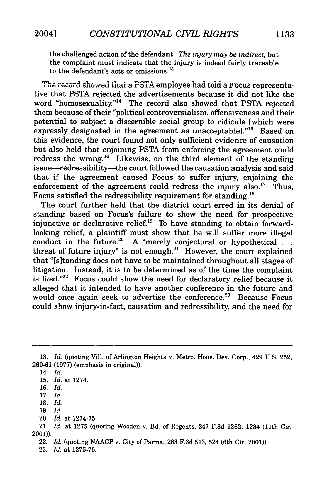the challenged action of the defendant. *The injury may be indirect,* but the complaint must indicate that the injury is indeed fairly traceable to the defendant's acts or omissions.<sup>13</sup>

The record showed that a PSTA employee had told a Focus representative that PSTA rejected the advertisements because it did not like the word "homosexuality."<sup>14</sup> The record also showed that PSTA rejected them because of their "political controversialism, offensiveness and their potential to subject a discernible social group to ridicule [which were expressly designated in the agreement as unacceptable]."<sup>15</sup> Based on this evidence, the court found not only sufficient evidence of causation but also held that enjoining PSTA from enforcing the agreement could redress the wrong.<sup>16</sup> Likewise, on the third element of the standing issue-redressibility-the court followed the causation analysis and said that if the agreement caused Focus to suffer injury, enjoining the enforcement of the agreement could redress the injury also.<sup>17</sup> Thus, Focus satisfied the redressibility requirement for standing.<sup>18</sup>

The court further held that the district court erred in its denial of standing based on Focus's failure to show the need for prospective injunctive or declarative relief.<sup>19</sup> To have standing to obtain forwardlooking relief, a plaintiff must show that he will suffer more illegal conduct in the future.<sup>20</sup> A "merely conjectural or hypothetical ... threat of future injury" is not enough. $21$  However, the court explained that "[s]tanding does not have to be maintained throughout all stages of litigation. Instead, it is to be determined as of the time the complaint is filed."<sup>22</sup> Focus could show the need for declaratory relief because it alleged that it intended to have another conference in the future and would once again seek to advertise the conference.<sup>23</sup> Because Focus could show injury-in-fact, causation and redressibility, and the need for

<sup>13.</sup> *Id.* (quoting Vill. of Arlington Heights v. Metro. Hous. Dev. Corp., 429 U.S. 252, **260-61 (1977)** (emphasis in original)).

<sup>14.</sup> *Id.*

**<sup>15.</sup>** *Id.* at 1274.

**<sup>16.</sup>** *Id.*

**<sup>17.</sup>** *Id.*

<sup>18.</sup> *Id.*

<sup>19.</sup> *Id.*

<sup>20.</sup> *Id.* at 1274-75.

<sup>21.</sup> *Id.* at 1275 (quoting Wooden v. Bd. of Regents, 247 F.3d 1262, 1284 (11th Cir. 2001)).

<sup>22.</sup> *Id.* (quoting NAACP v. City of Parma, 263 F.3d 513, 524 (6th Cir. 2001)).

<sup>23.</sup> *Id.* at 1275-76.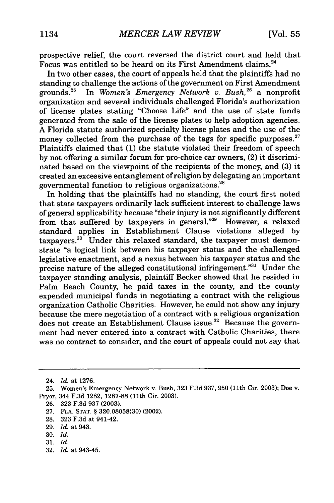prospective relief, the court reversed the district court and held that Focus was entitled to be heard on its First Amendment claims.<sup>24</sup>

In two other cases, the court of appeals held that the plaintiffs had no standing to challenge the actions of the government on First Amendment grounds.<sup>25</sup> In *Women's Emergency Network v. Bush*,<sup>26</sup> a nonprofit organization and several individuals challenged Florida's authorization of license plates stating "Choose Life" and the use of state funds generated from the sale of the license plates to help adoption agencies. A Florida statute authorized specialty license plates and the use of the money collected from the purchase of the tags for specific purposes. $27$ Plaintiffs claimed that (1) the statute violated their freedom of speech by not offering a similar forum for pro-choice car owners, (2) it discriminated based on the viewpoint of the recipients of the money, and (3) it created an excessive entanglement of religion by delegating an important governmental function to religious organizations.<sup>28</sup>

In holding that the plaintiffs had no standing, the court first noted that state taxpayers ordinarily lack sufficient interest to challenge laws of general applicability because "their injury is not significantly different from that suffered by taxpayers in general."29 However, a relaxed standard applies in Establishment Clause violations alleged by taxpayers.<sup>30</sup> Under this relaxed standard, the taxpayer must demonstrate "a logical link between his taxpayer status and the challenged legislative enactment, and a nexus between his taxpayer status and the precise nature of the alleged constitutional infringement."31 Under the taxpayer standing analysis, plaintiff Becker showed that he resided in Palm Beach County, he paid taxes in the county, and the county expended municipal funds in negotiating a contract with the religious organization Catholic Charities. However, he could not show any injury because the mere negotiation of a contract with a religious organization does not create an Establishment Clause issue.<sup>32</sup> Because the government had never entered into a contract with Catholic Charities, there was no contract to consider, and the court of appeals could not say that

- 29. *Id.* at 943.
- 30. *Id.*
- 31. *Id.*
- 32. *Id.* at 943-45.

<sup>24.</sup> *Id.* at 1276.

<sup>25.</sup> Women's Emergency Network v. Bush, 323 F.3d 937, 950 (11th Cir. 2003); Doe v. Pryor, 344 F.3d 1282, 1287-88 (11th Cir. 2003).

<sup>26.</sup> 323 F.3d 937 (2003).

**<sup>27.</sup>** FLA. STAT. § 320.08058(30) (2002).

<sup>28.</sup> 323 F.3d at 941-42.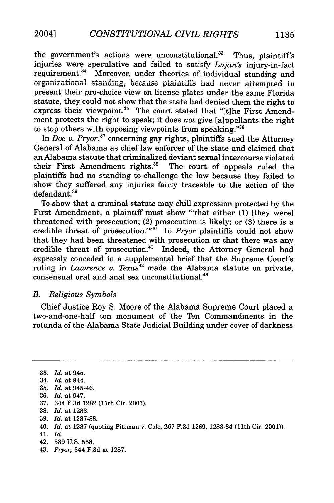the government's actions were unconstitutional.<sup>33</sup> Thus, plaintiff's injuries were speculative and failed to satisfy *Lujan's* injury-in-fact requirement.<sup>34</sup> Moreover, under theories of individual standing and organizational standing, because plaintiffs had never attempted to present their pro-choice view on license plates under the same Florida statute, they could not show that the state had denied them the right to express their viewpoint.<sup>35</sup> The court stated that "[t]he First Amendment protects the right to speak; it does *not* give [aippellants the right to stop others with opposing viewpoints from speaking. **"36**

In *Doe v. Pryor*,<sup>37</sup> concerning gay rights, plaintiffs sued the Attorney General of Alabama as chief law enforcer of the state and claimed that an Alabama statute that criminalized deviant sexual intercourse violated their First Amendment rights.<sup>38</sup> The court of appeals ruled the plaintiffs had no standing to challenge the law because they failed to show they suffered any injuries fairly traceable to the action of the defendant.<sup>39</sup>

To show that a criminal statute may chill expression protected by the First Amendment, a plaintiff must show "'that either (1) [they were] threatened with prosecution; (2) prosecution is likely; or (3) there is a credible threat of prosecution.<sup> $n40$ </sup> In *Pryor* plaintiffs could not show that they had been threatened with prosecution or that there was any credible threat of prosecution.<sup>41</sup> Indeed, the Attorney General had expressly conceded in a supplemental brief that the Supreme Court's ruling in *Lawrence v. Texas*<sup>42</sup> made the Alabama statute on private,  $consensual\ oral\ and\ anal\ sex\ unconstrained.<sup>43</sup>$ 

#### *B. Religious Symbols*

Chief Justice Roy S. Moore of the Alabama Supreme Court placed a two-and-one-half ton monument of the Ten Commandments in the rotunda of the Alabama State Judicial Building under cover of darkness

37. 344 F.3d 1282 (11th Cir. 2003).

- 40. *Id.* at 1287 (quoting Pittman v. Cole, 267 F.3d 1269, 1283-84 (11th Cir. 2001)).
- 41. *Id.*

43. *Pryor,* 344 F.3d at 1287.

<sup>33.</sup> *Id.* at 945.

<sup>34.</sup> *Id.* at 944.

<sup>35.</sup> *Id.* at 945-46.

<sup>36.</sup> *Id.* at 947.

<sup>38.</sup> *Id.* at 1283.

<sup>39.</sup> *Id.* at 1287-88.

<sup>42. 539</sup> U.S. 558.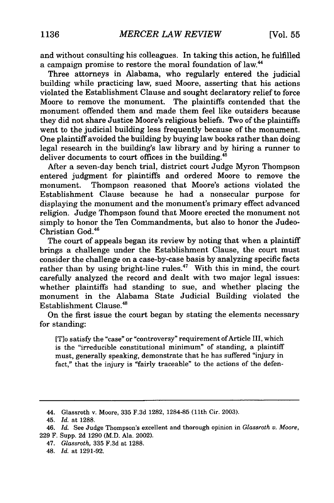and without consulting his colleagues. In taking this action, he fulfilled a campaign promise to restore the moral foundation of law.<sup>44</sup>

Three attorneys in Alabama, who regularly entered the judicial building while practicing law, sued Moore, asserting that his actions violated the Establishment Clause and sought declaratory relief to force Moore to remove the monument. The plaintiffs contended that the monument offended them and made them feel like outsiders because they did not share Justice Moore's religious beliefs. Two of the plaintiffs went to the judicial building less frequently because of the monument. One plaintiff avoided the building by buying law books rather than doing legal research in the building's law library and by hiring a runner to deliver documents to court offices in the building.<sup>45</sup>

After a seven-day bench trial, district court Judge Myron Thompson entered judgment for plaintiffs and ordered Moore to remove the monument. Thompson reasoned that Moore's actions violated the Establishment Clause because he had a nonsecular purpose for displaying the monument and the monument's primary effect advanced religion. Judge Thompson found that Moore erected the monument not simply to honor the Ten Commandments, but also to honor the Judeo-Christian God.46

The court of appeals began its review by noting that when a plaintiff brings a challenge under the Establishment Clause, the court must consider the challenge on a case-by-case basis by analyzing specific facts rather than by using bright-line rules.<sup>47</sup> With this in mind, the court carefully analyzed the record and dealt with two major legal issues: whether plaintiffs had standing to sue, and whether placing the monument in the Alabama State Judicial Building violated the Establishment Clause.48

On the first issue the court began by stating the elements necessary for standing:

[T]o satisfy the "case" or "controversy" requirement of Article III, which is the "irreducible constitutional minimum" of standing, a plaintiff must, generally speaking, demonstrate that he has suffered "injury in fact," that the injury is "fairly traceable" to the actions of the defen-

47. *Glassroth,* 335 F.3d at 1288.

<sup>44.</sup> Glassroth v. Moore, 335 F.3d 1282, 1284-85 (11th Cir. 2003).

<sup>45.</sup> *Id.* at 1288.

<sup>46.</sup> *Id.* See Judge Thompson's excellent and thorough opinion in *Glassroth v. Moore,* 229 F. Supp. 2d 1290 (M.D. Ala. 2002).

<sup>48.</sup> *Id.* at 1291-92.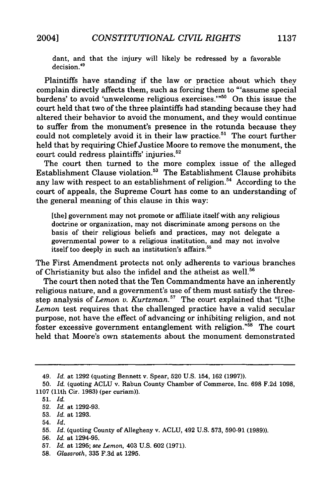dant, and that the injury will likely be redressed **by** a favorable decision.<sup>49</sup>

Plaintiffs have standing if the law or practice about which they complain directly affects them, such as forcing them to "'assume special burdens' to avoid 'unwelcome religious exercises.'"<sup>50</sup> On this issue the court held that two of the three plaintiffs had standing because they had altered their behavior to avoid the monument, and they would continue to suffer from the monument's presence in the rotunda because they could not completely avoid it in their law practice.<sup>51</sup> The court further held that **by** requiring Chief Justice Moore to remove the monument, the court could redress plaintiffs' injuries.

The court then turned to the more complex issue of the alleged Establishment Clause violation.<sup>53</sup> The Establishment Clause prohibits any law with respect to an establishment of religion.<sup>54</sup> According to the court of appeals, the Supreme Court has come to an understanding of the general meaning of this clause in this way:

[the] government may not promote or affiliate itself with any religious doctrine or organization, may not discriminate among persons on the basis of their religious beliefs and practices, may not delegate a governmental power to a religious institution, and may not involve itself too deeply in such an institution's affairs.<sup>55</sup>

The First Amendment protects not only adherents to various branches of Christianity but also the infidel and the atheist as well.<sup>56</sup>

The court then noted that the Ten Commandments have an inherently religious nature, and a government's use of them must satisfy the threestep analysis of *Lemon v. Kurtzman.57* The court explained that "[t]he *Lemon* test requires that the challenged practice have a valid secular purpose, not have the effect of advancing or inhibiting religion, and not foster excessive government entanglement with religion."<sup>58</sup> The court held that Moore's own statements about the monument demonstrated

54. *Id.*

<sup>49.</sup> *Id.* at **1292** (quoting Bennett v. Spear, **520 U.S.** 154, **162 (1997)).**

**<sup>50.</sup>** *Id.* (quoting **ACLU** v. Rabun County Chamber of Commerce, Inc. **698 F.2d 1098, 1107** (11th Cir. **1983)** (per curiam)).

**<sup>51.</sup>** *Id.*

**<sup>52.</sup>** *Id.* at **1292-93.**

**<sup>53.</sup>** *Id.* at **1293.**

**<sup>55.</sup>** *Id.* (quoting County of Allegheny v. **ACLU,** 492 **U.S. 573, 590-91 (1989)).**

**<sup>56.</sup>** *Id.* at 1294-95.

**<sup>57.</sup>** *Id.* at **1295;** *see Lemon,* 403 **U.S. 602 (1971).**

**<sup>58.</sup>** *Glassroth,* **335 F.3d** at **1295.**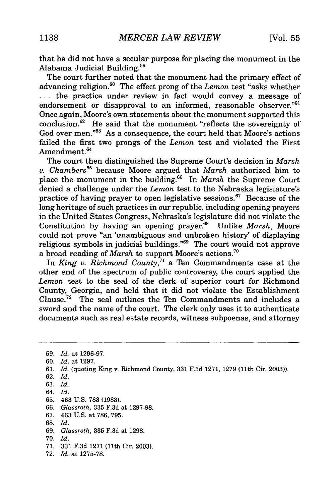that he did not have a secular purpose for placing the monument in the Alabama Judicial Building.<sup>59</sup>

The court further noted that the monument had the primary effect of advancing religion."° The effect prong of the *Lemon* test "asks whether ... the practice under review in fact would convey a message of endorsement or disapproval to an informed, reasonable observer." $61$ Once again, Moore's own statements about the monument supported this conclusion.<sup>62</sup> He said that the monument "reflects the sovereignty of God over men."<sup>63</sup> As a consequence, the court held that Moore's actions failed the first two prongs of the *Lemon* test and violated the First Amendment.<sup>64</sup>

The court then distinguished the Supreme Court's decision in *Marsh v. Chambers6 <sup>5</sup>*because Moore argued that *Marsh* authorized him to place the monument in the building.<sup>66</sup> In *Marsh* the Supreme Court denied a challenge under the *Lemon* test to the Nebraska legislature's practice of having prayer to open legislative sessions.<sup>67</sup> Because of the long heritage of such practices in our republic, including opening prayers in the United States Congress, Nebraska's legislature did not violate the Constitution by having an opening prayer.<sup>68</sup> Unlike *Marsh*, Moore could not prove "an 'unambiguous and unbroken history' of displaying religious symbols in judicial buildings."<sup>69</sup> The court would not approve a broad reading of Marsh to support Moore's actions.<sup>70</sup>

In *King v. Richmond County*,<sup>71</sup> a Ten Commandments case at the other end of the spectrum of public controversy, the court applied the *Lemon* test to the seal of the clerk of superior court for Richmond County, Georgia, and held that it did not violate the Establishment Clause.<sup>72</sup> The seal outlines the Ten Commandments and includes a sword and the name of the court. The clerk only uses it to authenticate documents such as real estate records, witness subpoenas, and attorney

59. *Id.* at 1296-97. 60. *Id.* at 1297. 61. *Id.* (quoting King v. Richmond County, 331 F.3d 1271, 1279 (11th Cir. 2003)). 62. *Id.* 63. *Id.* 64. *Id.* 65. 463 U.S. 783 (1983). 66. *Glassroth,* 335 F.3d at 1297-98. 67. 463 U.S. at 786, 795. **68.** *Id.* 69. *Glassroth,* 335 F.3d at 1298. **70.** *Id.* **71. 331 F.3d 1271** (11th Cir. **2003). 72.** *Id.* at **1275-78.**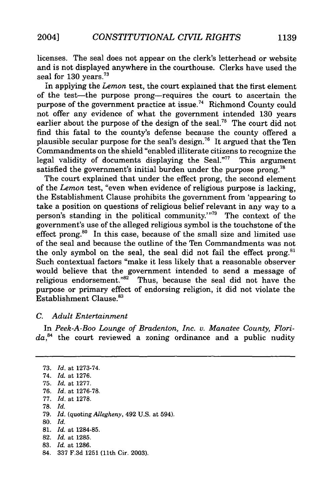licenses. The seal does not appear on the clerk's letterhead or website and is not displayed anywhere in the courthouse. Clerks have used the seal for **130** years.73

in applying the *Lemon* test, the court explained that the first element of the test-the purpose prong-requires the court to ascertain the purpose of the government practice at issue.<sup>74</sup> Richmond County could not offer any evidence of what the government intended 130 years earlier about the purpose of the design of the seal.<sup>75</sup> The court did not find this fatal to the county's defense because the county offered a plausible secular purpose for the seal's design.<sup>76</sup> It argued that the Ten Commandments on the shield "enabled illiterate citizens to recognize the legal validity of documents displaying the Seal."<sup>77</sup> This argument satisfied the government's initial burden under the purpose prong.<sup>78</sup>

The court explained that under the effect prong, the second element of the *Lemon* test, "even when evidence of religious purpose is lacking, the Establishment Clause prohibits the government from 'appearing to take a position on questions of religious belief relevant in any way to a person's standing in the political community."'79 The context of the government's use of the alleged religious symbol is the touchstone of the effect prong.<sup>80</sup> In this case, because of the small size and limited use of the seal and because the outline of the Ten Commandments was not the only symbol on the seal, the seal did not fail the effect prong.<sup>81</sup> Such contextual factors "make it less likely that a reasonable observer would believe that the government intended to send a message of religious endorsement."<sup>82</sup> Thus, because the seal did not have the purpose or primary effect of endorsing religion, it did not violate the Establishment Clause.<sup>83</sup>

#### *C. Adult Entertainment*

In *Peek-A-Boo Lounge of Bradenton, Inc.* v. *Manatee County, Florida,4* the court reviewed a zoning ordinance and a public nudity

- 78. *Id.*
- 79. *Id.* (quoting *Allegheny,* 492 U.S. at 594).
- **80.** *Id.*

- 82. *Id.* at 1285.
- 83. *Id.* at 1286.
- 84. 337 F.3d 1251 (11th Cir. 2003).

<sup>73.</sup> *Id.* at 1273-74.

<sup>74.</sup> *Id.* at 1276.

<sup>75.</sup> *Id.* at 1277.

<sup>76.</sup> *Id.* at 1276-78.

<sup>77.</sup> *Id.* at 1278.

<sup>81.</sup> *Id.* at 1284-85.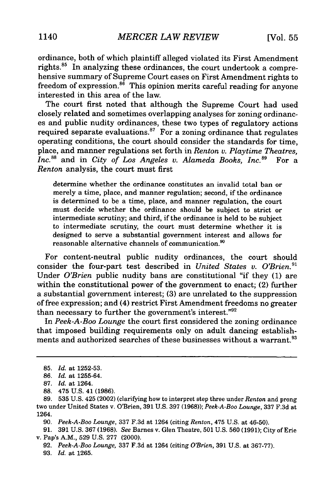ordinance, both of which plaintiff alleged violated its First Amendment rights.<sup>85</sup> In analyzing these ordinances, the court undertook a comprehensive summary of Supreme Court cases on First Amendment rights to freedom of expression.<sup>86</sup> This opinion merits careful reading for anyone interested in this area of the law.

The court first noted that although the Supreme Court had used closely related and sometimes overlapping analyses for zoning ordinances and public nudity ordinances, these two types of regulatory actions required separate evaluations.<sup>87</sup> For a zoning ordinance that regulates operating conditions, the court should consider the standards for time, place, and manner regulations set forth in *Renton v. Playtime Theatres, Inc.* 88 and in *City of Los Angeles v. Alameda Books, Inc.89* For a *Renton* analysis, the court must first

determine whether the ordinance constitutes an invalid total ban or merely a time, place, and manner regulation; second, if the ordinance is determined to be a time, place, and manner regulation, the court must decide whether the ordinance should be subject to strict or intermediate scrutiny; and third, if the ordinance is held to be subject to intermediate scrutiny, the court must determine whether it is designed to serve a substantial government interest and allows for reasonable alternative channels of communication.<sup>90</sup>

For content-neutral public nudity ordinances, the court should consider the four-part test described in *United States v. O'Brien.*<sup>91</sup> Under *O'Brien* public nudity bans are constitutional "if they (1) are within the constitutional power of the government to enact; (2) further a substantial government interest; (3) are unrelated to the suppression of free expression; and (4) restrict First Amendment freedoms no greater than necessary to further the government's interest."92

In *Peek-A-Boo Lounge* the court first considered the zoning ordinance that imposed building requirements only on adult dancing establishments and authorized searches of these businesses without a warrant.<sup>93</sup>

88. 475 U.S. 41 (1986).

90. *Peek-A-Boo Lounge,* 337 F.3d at 1264 (citing *Renton,* 475 U.S. at 46-50).

91. 391 U.S. 367 (1968). *See* Barnes v. Glen Theatre, 501 U.S. 560 (1991); City of Erie v. Pap's A.M., 529 U.S. 277 (2000).

92. *Peek-A-Boo Lounge,* 337 F.3d at 1264 (citing *O'Brien,* 391 U.S. at 367-77). 93. *Id.* at 1265.

<sup>85.</sup> *Id.* at 1252-53.

<sup>86.</sup> *Id.* at 1255-64.

<sup>87.</sup> *Id.* at 1264.

<sup>89. 535</sup> U.S. 425 (2002) (clarifying how to interpret step three under *Renton* and prong two under United States v. O'Brien, 391 U.S. 397 (1968)); *Peek-A-Boo Lounge,* 337 F.3d at 1264.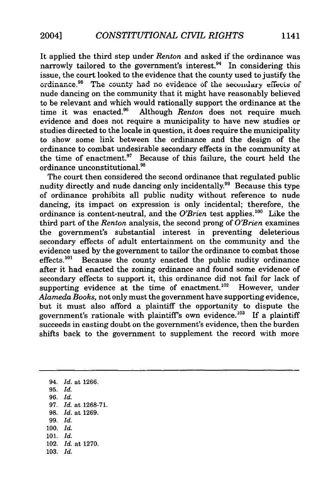It applied the third step under *Renton* and asked if the ordinance was narrowly tailored to the government's interest.<sup>94</sup> In considering this issue, the court looked to the evidence that the county used to justify the  $\alpha$  **2 dinance.** <sup>95</sup> The county had no evidence of the secondary effects of nude dancing on the community that it might have reasonably believed to be relevant and which would rationally support the ordinance at the time it was enacted.<sup>96</sup> Although *Renton* does not require much Although *Renton* does not require much evidence and does not require a municipality to have new studies or studies directed to the locale in question, it does require the municipality to show some link between the ordinance and the design of the ordinance to combat undesirable secondary effects in the community at the time of enactment. $97$  Because of this failure, the court held the ordinance unconstitutional.<sup>98</sup>

The court then considered the second ordinance that regulated public nudity directly and nude dancing only incidentally.<sup>99</sup> Because this type of ordinance prohibits all public nudity without reference to nude dancing, its impact on expression is only incidental; therefore, the ordinance is content-neutral, and the *O'Brien* test applies.'00 Like the third part of the *Renton* analysis, the second prong of *O'Brien* examines the government's substantial interest in preventing deleterious secondary effects of adult entertainment on the community and the evidence used by the government to tailor the ordinance to combat those effects.<sup>101</sup> Because the county enacted the public nudity ordinance Because the county enacted the public nudity ordinance after it had enacted the zoning ordinance and found some evidence of secondary effects to support it, this ordinance did not fail for lack of supporting evidence at the time of enactment.<sup>102</sup> However, under *Alameda Books,* not only must the government have supporting evidence, but it must also afford a plaintiff the opportunity to dispute the government's rationale with plaintiff's own evidence.<sup>103</sup> If a plaintiff succeeds in casting doubt on the government's evidence, then the burden shifts back to the government to supplement the record with more

94. *Id.* at 1266. **95.** *Id.* 96. *Id.* 97. *Id.* at 1268-71. 98. *Id.* at 1269. 99. *Id.* 100. *Id.* 101. *Id.* 102. *Id.* at 1270. 103. *Id.*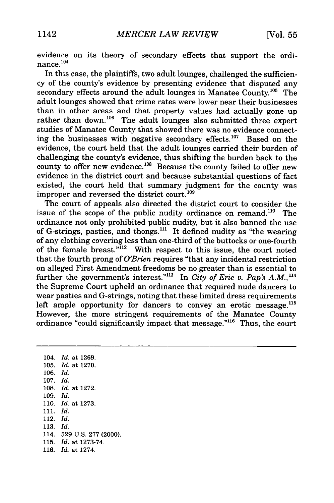evidence on its theory of secondary effects that support the ordinance. $104$ 

In this case, the plaintiffs, two adult lounges, challenged the sufficiency of the county's evidence by presenting evidence that disputed any secondary effects around the adult lounges in Manatee County.<sup>105</sup> The adult lounges showed that crime rates were lower near their businesses than in other areas and that property values had actually gone up rather than down.<sup>106</sup> The adult lounges also submitted three expert studies of Manatee County that showed there was no evidence connecting the businesses with negative secondary effects.<sup>107</sup> Based on the evidence, the court held that the adult lounges carried their burden of challenging the county's evidence, thus shifting the burden back to the county to offer new evidence.<sup>108</sup> Because the county failed to offer new evidence in the district court and because substantial questions of fact existed, the court held that summary judgment for the county was improper and reversed the district court.<sup>109</sup>

The court of appeals also directed the district court to consider the issue of the scope of the public nudity ordinance on remand.<sup>110</sup> The ordinance not only prohibited public nudity, but it also banned the use of G-strings, pasties, and thongs."' It defined nudity as "the wearing of any clothing covering less than one-third of the buttocks or one-fourth of the female breast."<sup>I12</sup> With respect to this issue, the court noted that the fourth prong of *O'Brien* requires "that any incidental restriction on alleged First Amendment freedoms be no greater than is essential to further the government's interest."<sup>113</sup> In *City of Erie v. Pap's A.M.*,<sup>114</sup> the Supreme Court upheld an ordinance that required nude dancers to wear pasties and G-strings, noting that these limited dress requirements left ample opportunity for dancers to convey an erotic message. $^{115}$ However, the more stringent requirements of the Manatee County ordinance "could significantly impact that message."<sup>116</sup> Thus, the court

104. *Id.* at 1269. 105. *Id.* at 1270. 106. *Id.* 107. *Id.* 108. *Id.* at 1272. 109. *Id.* 110. *Id.* at 1273. 111. *Id.* 112. *Id.* 113. *Id.* 114. 529 U.S. 277 (2000). 115. *Id.* at 1273-74. 116. *Id.* at 1274.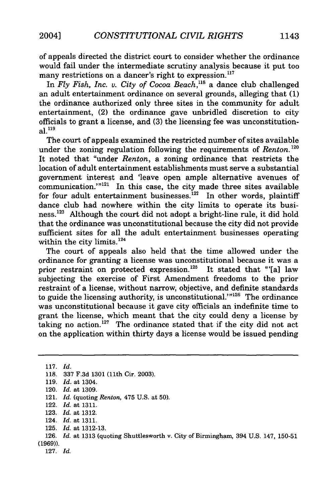of appeals directed the district court to consider whether the ordinance would fail under the intermediate scrutiny analysis because it put too many restrictions on a dancer's right to expression.<sup>117</sup>

In *Fly Fish, Inc. v. City of Cocoa Beach*,<sup>118</sup> a dance club challenged an adult entertainment ordinance on several grounds, alleging that (1) the ordinance authorized only three sites in the community for adult entertainment, (2) the ordinance gave unbridled discretion to city officials to grant a license, and (3) the licensing fee was unconstitutional. **119**

The court of appeals examined the restricted number of sites available under the zoning regulation following the requirements of *Renton.'20* It noted that "under *Renton,* a zoning ordinance that restricts the location of adult entertainment establishments must serve a substantial government interest and 'leave open ample alternative avenues of communication."<sup>121</sup> In this case, the city made three sites available for four adult entertainment businesses.<sup>122</sup> In other words, plaintiff dance club had nowhere within the city limits to operate its business.<sup>123</sup> Although the court did not adopt a bright-line rule, it did hold that the ordinance was unconstitutional because the city did not provide sufficient sites for all the adult entertainment businesses operating within the city limits. <sup>124</sup>

The court of appeals also held that the time allowed under the ordinance for granting a license was unconstitutional because it was a prior restraint on protected expression.<sup>125</sup> It stated that "'[a] law subjecting the exercise of First Amendment freedoms to the prior restraint of a license, without narrow, objective, and definite standards to guide the licensing authority, is unconstitutional. $1^{126}$  The ordinance was unconstitutional because it gave city officials an indefinite time to grant the license, which meant that the city could deny a license by taking no action.<sup>127</sup> The ordinance stated that if the city did not act on the application within thirty days a license would be issued pending

117. *Id.* 118. 337 F.3d 1301 (11th Cir. 2003). 119. *Id.* at 1304. 120. *Id.* at 1309. 121. *Id.* (quoting *Renton,* 475 U.S. at 50). 122. *Id.* at 1311. 123. *Id.* at 1312. 124. *Id.* at 1311. 125. *Id.* at 1312-13. 126. *Id.* at 1313 (quoting Shuttlesworth v. City of Birmingham, 394 U.S. 147, 150-51 (1969)). 127. *Id.*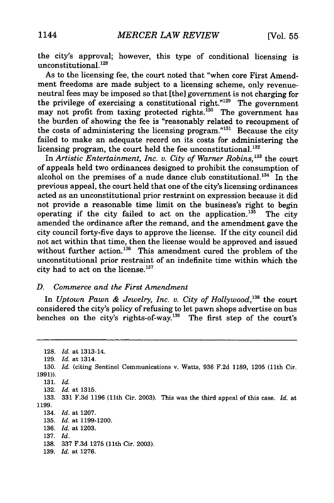the city's approval; however, this type of conditional licensing is unconstitutional.<sup>128</sup>

As to the licensing fee, the court noted that "when core First Amendment freedoms are made subject to a licensing scheme, only revenueneutral fees may be imposed so that [the] government is not charging for the privilege of exercising a constitutional right."<sup>129</sup> The government may not profit from taxing protected rights.<sup>130</sup> The government has the burden of showing the fee is "reasonably related to recoupment of the costs of administering the licensing program."<sup>131</sup> Because the city failed to make an adequate record on its costs for administering the licensing program, the court held the fee unconstitutional.<sup>132</sup>

In *Artistic Entertainment, Inc. v. City of Warner Robins*,<sup>133</sup> the court of appeals held two ordinances designed to prohibit the consumption of alcohol on the premises of a nude dance club constitutional. $134$  In the previous appeal, the court held that one of the city's licensing ordinances acted as an unconstitutional prior restraint on expression because it did not provide a reasonable time limit on the business's right to begin operating if the city failed to act on the application.<sup>135</sup> The city amended the ordinance after the remand, and the amendment gave the city council forty-five days to approve the license. If the city council did not act within that time, then the license would be approved and issued without further action.<sup>136</sup> This amendment cured the problem of the unconstitutional prior restraint of an indefinite time within which the city had to act on the license.<sup>137</sup>

## *D. Commerce and the First Amendment*

In *Uptown Pawn & Jewelry, Inc. v. City of Hollywood*,<sup>138</sup> the court considered the city's policy of refusing to let pawn shops advertise on bus benches on the city's rights-of-way.<sup>139</sup> The first step of the court's

128. *Id.* at 1313-14. 129. *Id.* at 1314. 130. *Id.* (citing Sentinel Communications v. Watts, 936 F.2d 1189, 1205 (11th Cir. 1991)). 131. *Id.* 132. *Id.* at 1315. 133. 331 F.3d 1196 (11th Cir. 2003). This was the third appeal of this case. *Id.* at 1199. 134. *Id.* at 1207. 135. *Id.* at 1199-1200. 136. *Id.* at 1203. 137. *Id.* 138. 337 F.3d 1275 (11th Cir. 2003). 139. *Id.* at 1276.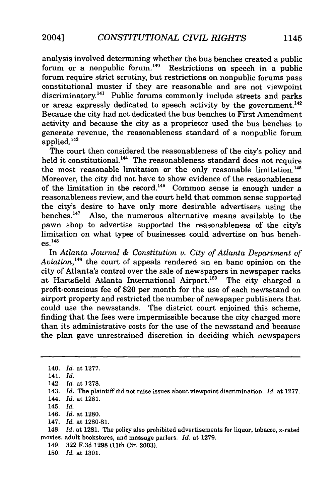analysis involved determining whether the bus benches created a public forum or a nonpublic forum.<sup>140</sup> Restrictions on speech in a public forum require strict scrutiny, but restrictions on nonpublic forums pass constitutional muster if they are reasonable and are not viewpoint discriminatory.<sup>141</sup> Public forums commonly include streets and parks or areas expressly dedicated to speech activity by the government.<sup>142</sup> Because the city had not dedicated the bus benches to First Amendment activity and because the city as a proprietor used the bus benches to generate revenue, the reasonableness standard of a nonpublic forum  $applied.<sup>143</sup>$ 

The court then considered the reasonableness of the city's policy and held it constitutional.<sup>144</sup> The reasonableness standard does not require the most reasonable limitation or the only reasonable limitation.<sup>145</sup> Moreover, the city did not have to show evidence of the reasonableness of the limitation in the record.<sup>146</sup> Common sense is enough under a reasonableness review, and the court held that common sense supported the city's desire to have only more desirable advertisers using the benches. 47 Also, the numerous alternative means available to the pawn shop to advertise supported the reasonableness of the city's limitation on what types of businesses could advertise on bus benches. 148

In *Atlanta Journal & Constitution v. City of Atlanta Department of Aviation, <sup>49</sup>*the court of appeals rendered an en banc opinion on the city of Atlanta's control over the sale of newspapers in newspaper racks at Hartsfield Atlanta International Airport.<sup>150</sup> The city charged a profit-conscious fee of \$20 per month for the use of each newsstand on airport property and restricted the number of newspaper publishers that could use the newsstands. The district court enjoined this scheme, finding that the fees were impermissible because the city charged more than its administrative costs for the use of the newsstand and because the plan gave unrestrained discretion in deciding which newspapers

148. *Id.* at 1281. The policy also prohibited advertisements for liquor, tobacco, x-rated movies, adult bookstores, and massage parlors. *Id.* at 1279.

149. 322 F.3d 1298 (11th Cir. 2003).

150. *Id.* at 1301.

<sup>140.</sup> *Id.* at 1277.

<sup>141.</sup> *Id.*

<sup>142.</sup> Id. at 1278.

<sup>143.</sup> *Id.* The plaintiff did not raise issues about viewpoint discrimination. *Id.* at 1277. 144. *Id.* at 1281.

<sup>145.</sup> Id.

<sup>146.</sup> *Id.* at 1280.

<sup>147.</sup> *Id.* at 1280-81.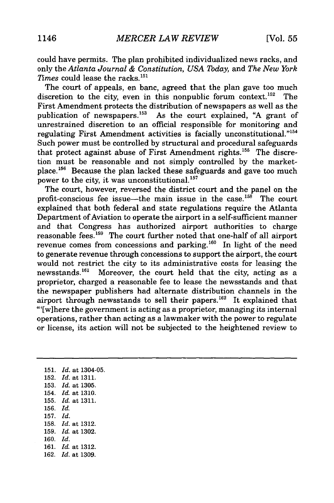could have permits. The plan prohibited individualized news racks, and only the *Atlanta Journal & Constitution, USA Today,* and *The New York Times* could lease the racks.<sup>151</sup>

The court of appeals, en banc, agreed that the plan gave too much discretion to the city, even in this nonpublic forum context.<sup>152</sup> The First Amendment protects the distribution of newspapers as well as the publication of newspapers.<sup>153</sup> As the court explained, "A grant of unrestrained discretion to an official responsible for monitoring and regulating First Amendment activities is facially unconstitutional."<sup>154</sup> Such power must be controlled by structural and procedural safeguards that protect against abuse of First Amendment rights.<sup>155</sup> The discretion must be reasonable and not simply controlled by the marketplace.<sup>156</sup> Because the plan lacked these safeguards and gave too much power to the city, it was unconstitutional.<sup>157</sup>

The court, however, reversed the district court and the panel on the profit-conscious fee issue—the main issue in the case.<sup>158</sup> The court explained that both federal and state regulations require the Atlanta Department of Aviation to operate the airport in a self-sufficient manner and that Congress has authorized airport authorities to charge reasonable fees.<sup>159</sup> The court further noted that one-half of all airport revenue comes from concessions and parking.<sup>160</sup> In light of the need to generate revenue through concessions to support the airport, the court would not restrict the city to its administrative costs for leasing the newsstands.'6' Moreover, the court held that the city, acting as a proprietor, charged a reasonable fee to lease the newsstands and that the newspaper publishers had alternate distribution channels in the airport through newsstands to sell their papers.<sup>162</sup> It explained that "'[w]here the government is acting as a proprietor, managing its internal operations, rather than acting as a lawmaker with the power to regulate or license, its action will not be subjected to the heightened review to

151. *Id.* at 1304-05. 152. *Id.* at 1311. 153. *Id.* at 1305. 154. *Id.* at 1310. 155. *Id.* at 1311. 156. *Id.* 157. *Id.* 158. *Id.* at 1312. 159. *Id.* at 1302. 160. *Id.* 161. *Id.* at 1312. 162. *Id.* at 1309.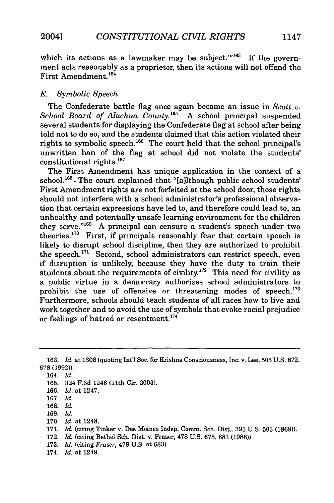which its actions as a lawmaker may be subject.'" $163$  If the government acts reasonably as a proprietor, then its actions will not offend the First Amendment.<sup>164</sup>

### *E. Symbolic Speech*

The Confederate battle flag once again became an issue in *Scott v.* School Board of Alachua County.<sup>165</sup> A school principal suspended several students for displaying the Confederate flag at school after being told not to do so, and the students claimed that this action violated their rights to symbolic speech.<sup>166</sup> The court held that the school principal's unwritten ban of the flag at school did not violate the students'  $constitutional rights.<sup>167</sup>$ 

The First Amendment has unique application in the context of a school. $168$ . The court explained that "[a]lthough public school students' First Amendment rights are not forfeited at the school door, those rights should not interfere with a school administrator's professional observation that certain expressions have led to, and therefore could lead to, an unhealthy and potentially unsafe learning environment for the children they serve."<sup>169</sup> A principal can censure a student's speech under two theories.<sup>170</sup> First, if principals reasonably fear that certain speech is likely to disrupt school discipline, then they are authorized to prohibit the speech.<sup>171</sup> Second, school administrators can restrict speech, even if disruption is unlikely, because they have the duty to train their students about the requirements of civility.<sup>172</sup> This need for civility as a public virtue in a democracy authorizes school administrators to prohibit the use of offensive or threatening modes of speech.<sup>173</sup> Furthermore, schools should teach students of all races how to live and work together and to avoid the use of symbols that evoke racial prejudice or feelings of hatred or resentment.'

- 170. *Id.* at 1248.
- 171. *Id.* (citing Tinker v. Des Moines Indep. Comm. Sch. Dist., 393 U.S. 503 (1969)).
- 172. *Id.* (citing Bethel Sch. Dist. v. Fraser, 478 U.S. 675, 683 (1986)).
- 173. *Id.* (citing *Fraser,* 478 U.S. at 683).
- 174. *Id.* at 1249.

<sup>163.</sup> *Id.* at 1308 (quoting Int'l Soc. for Krishna Consciousness, Inc. v. Lee, 505 U.S. 672, 678 (1992)).

<sup>164.</sup> *Id.*

<sup>165. 324</sup> F.3d 1246 (11th Cir. 2003).

<sup>166.</sup> *Id.* at 1247.

<sup>167.</sup> *Id.*

<sup>168.</sup> *Id.*

<sup>169.</sup> *Id.*